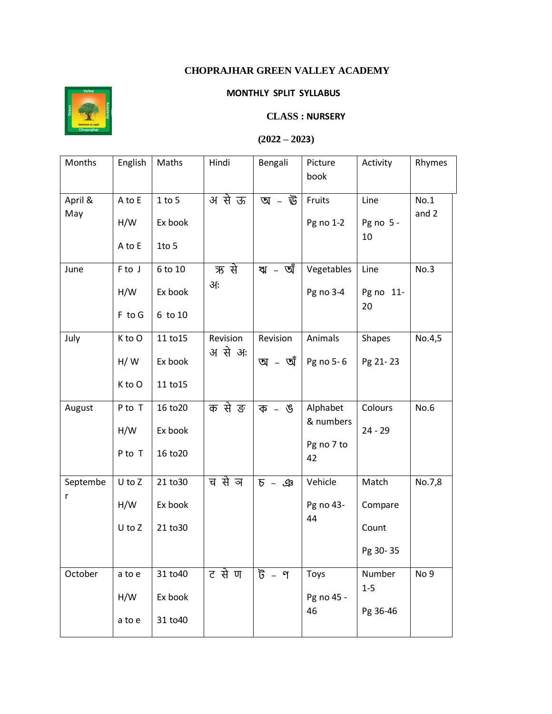## **CHOPRAJHAR GREEN VALLEY ACADEMY**



## **MONTHLY SPLIT SYLLABUS**

## **CLASS : NURSERY**

## $(2022 - 2023)$

| Months   | English | Maths    | Hindi              | Bengali            | Picture          | Activity          | Rhymes          |
|----------|---------|----------|--------------------|--------------------|------------------|-------------------|-----------------|
|          |         |          |                    |                    | book             |                   |                 |
| April &  | A to E  | 1 to 5   | अ से ऊ             | অ - ঊ              | Fruits           | Line              | No.1            |
| May      | H/W     | Ex book  |                    |                    | Pg no 1-2        | Pg no $5 -$<br>10 | and 2           |
|          | A to E  | $1$ to 5 |                    |                    |                  |                   |                 |
| June     | F to J  | 6 to 10  | ऋ से               | ঋ - অঁ             | Vegetables       | Line              | No.3            |
|          | H/W     | Ex book  | आः                 |                    | Pg no 3-4        | Pg no 11-<br>20   |                 |
|          | F to G  | 6 to 10  |                    |                    |                  |                   |                 |
| July     | K to O  | 11 to 15 | Revision<br>असे अः | Revision<br>অ - অঁ | Animals          | <b>Shapes</b>     | No.4,5          |
|          | H/W     | Ex book  |                    |                    | Pg no 5-6        | Pg 21-23          |                 |
|          | K to O  | 11 to 15 |                    |                    |                  |                   |                 |
| August   | P to T  | 16 to 20 | क से ङ             | ক – ঙ              | Alphabet         | Colours           | No.6            |
|          | H/W     | Ex book  |                    |                    | & numbers        | $24 - 29$         |                 |
|          | P to T  | 16 to 20 |                    |                    | Pg no 7 to<br>42 |                   |                 |
| Septembe | U to Z  | 21 to 30 | च से ञ             | $P - P$            | Vehicle          | Match             | No.7,8          |
| r        | H/W     | Ex book  |                    |                    | Pg no 43-        | Compare           |                 |
|          | U to Z  | 21 to 30 |                    |                    | 44               | Count             |                 |
|          |         |          |                    |                    |                  | Pg 30-35          |                 |
| October  | a to e  | 31 to 40 | ट से ण             | ট - ণ              | Toys             | Number            | No <sub>9</sub> |
|          | H/W     | Ex book  |                    |                    | Pg no 45 -<br>46 | $1-5$             |                 |
|          | a to e  | 31 to 40 |                    |                    |                  | Pg 36-46          |                 |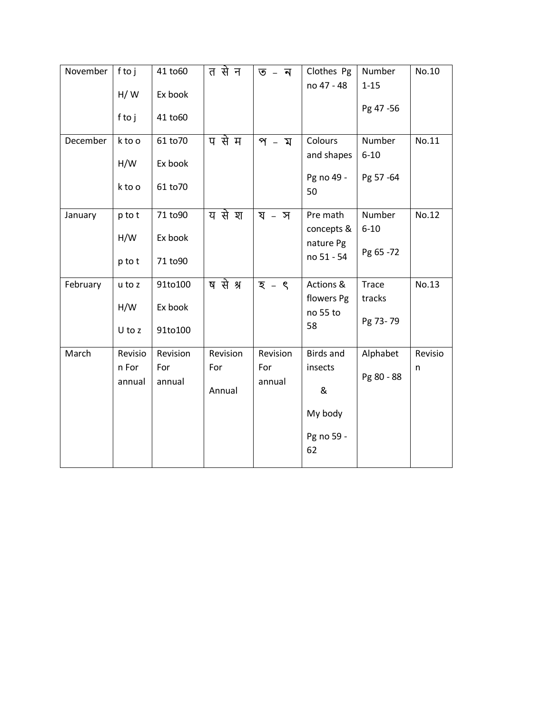| November | ftoj<br>H/W<br>ftoj        | 41 to 60<br>Ex book<br>41 to60  | त से न                    | ত – ন                     | Clothes Pg<br>no 47 - 48                                        | Number<br>$1 - 15$<br>Pg 47 - 56 | No.10        |
|----------|----------------------------|---------------------------------|---------------------------|---------------------------|-----------------------------------------------------------------|----------------------------------|--------------|
| December | k to o<br>H/W<br>k to o    | 61 to 70<br>Ex book<br>61 to 70 | प से म                    | প - ম                     | Colours<br>and shapes<br>Pg no 49 -<br>50                       | Number<br>$6 - 10$<br>Pg 57 -64  | No.11        |
| January  | p to t<br>H/W<br>p to t    | 71 to90<br>Ex book<br>71 to90   | य से श                    | য – স                     | Pre math<br>concepts &<br>nature Pg<br>no 51 - 54               | Number<br>$6 - 10$<br>Pg 65 -72  | No.12        |
| February | u to z<br>H/W<br>U to z    | 91to100<br>Ex book<br>91to100   | ष से श्र                  | $\overline{z}$ – $\zeta$  | Actions &<br>flowers Pg<br>no 55 to<br>58                       | Trace<br>tracks<br>Pg 73-79      | No.13        |
| March    | Revisio<br>n For<br>annual | Revision<br>For<br>annual       | Revision<br>For<br>Annual | Revision<br>For<br>annual | <b>Birds and</b><br>insects<br>&<br>My body<br>Pg no 59 -<br>62 | Alphabet<br>Pg 80 - 88           | Revisio<br>n |